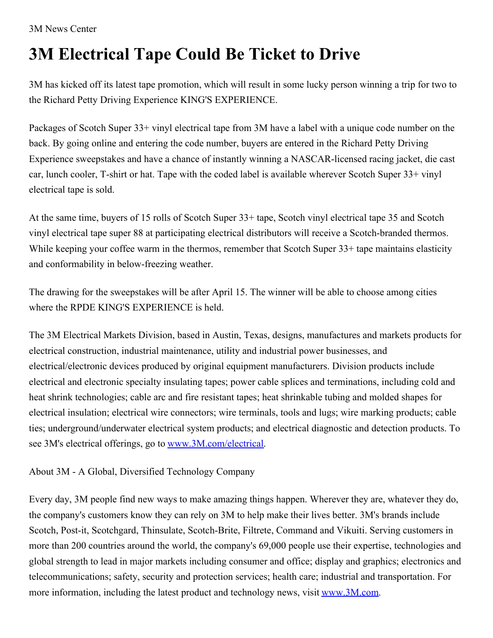3M News Center

## **3M Electrical Tape Could Be Ticket to Drive**

3M has kicked off its latest tape promotion, which will result in some lucky person winning a trip for two to the Richard Petty Driving Experience KING'S EXPERIENCE.

Packages of Scotch Super 33+ vinyl electrical tape from 3M have a label with a unique code number on the back. By going online and entering the code number, buyers are entered in the Richard Petty Driving Experience sweepstakes and have a chance of instantly winning a NASCAR-licensed racing jacket, die cast car, lunch cooler, T-shirt or hat. Tape with the coded label is available wherever Scotch Super 33+ vinyl electrical tape is sold.

At the same time, buyers of 15 rolls of Scotch Super 33+ tape, Scotch vinyl electrical tape 35 and Scotch vinyl electrical tape super 88 at participating electrical distributors will receive a Scotch-branded thermos. While keeping your coffee warm in the thermos, remember that Scotch Super 33+ tape maintains elasticity and conformability in below-freezing weather.

The drawing for the sweepstakes will be after April 15. The winner will be able to choose among cities where the RPDE KING'S EXPERIENCE is held.

The 3M Electrical Markets Division, based in Austin, Texas, designs, manufactures and markets products for electrical construction, industrial maintenance, utility and industrial power businesses, and electrical/electronic devices produced by original equipment manufacturers. Division products include electrical and electronic specialty insulating tapes; power cable splices and terminations, including cold and heat shrink technologies; cable arc and fire resistant tapes; heat shrinkable tubing and molded shapes for electrical insulation; electrical wire connectors; wire terminals, tools and lugs; wire marking products; cable ties; underground/underwater electrical system products; and electrical diagnostic and detection products. To see 3M's electrical offerings, go to [www.3M.com/electrical](http://www.3m.com/electrical).

## About 3M - A Global, Diversified Technology Company

Every day, 3M people find new ways to make amazing things happen. Wherever they are, whatever they do, the company's customers know they can rely on 3M to help make their lives better. 3M's brands include Scotch, Post-it, Scotchgard, Thinsulate, Scotch-Brite, Filtrete, Command and Vikuiti. Serving customers in more than 200 countries around the world, the company's 69,000 people use their expertise, technologies and global strength to lead in major markets including consumer and office; display and graphics; electronics and telecommunications; safety, security and protection services; health care; industrial and transportation. For more information, including the latest product and technology news, visit [www.3M.com](http://www.3m.com/).